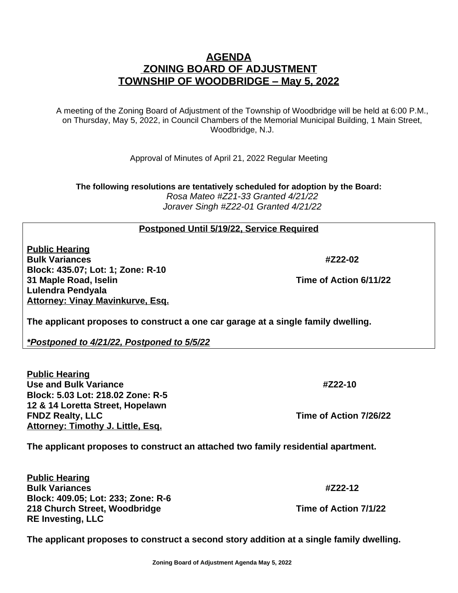## **ZONING BOARD OF ADJUSTMENT TOWNSHIP OF WOODBRIDGE – May 5, 2022**

**AGENDA**

A meeting of the Zoning Board of Adjustment of the Township of Woodbridge will be held at 6:00 P.M., on Thursday, May 5, 2022, in Council Chambers of the Memorial Municipal Building, 1 Main Street, Woodbridge, N.J.

Approval of Minutes of April 21, 2022 Regular Meeting

**The following resolutions are tentatively scheduled for adoption by the Board:** *Rosa Mateo #Z21-33 Granted 4/21/22 Joraver Singh #Z22-01 Granted 4/21/22*

## **Postponed Until 5/19/22, Service Required**

**Public Hearing Bulk Variances #Z22-02 Block: 435.07; Lot: 1; Zone: R-10 31 Maple Road, Iselin Time of Action 6/11/22 Lulendra Pendyala Attorney: Vinay Mavinkurve, Esq.**

**The applicant proposes to construct a one car garage at a single family dwelling.**

*\*Postponed to 4/21/22, Postponed to 5/5/22*

**Public Hearing Use and Bulk Variance #Z22-10 Block: 5.03 Lot: 218.02 Zone: R-5 12 & 14 Loretta Street, Hopelawn FNDZ Realty, LLC Time of Action 7/26/22 Attorney: Timothy J. Little, Esq.**

**The applicant proposes to construct an attached two family residential apartment.**

**Public Hearing Bulk Variances #Z22-12 Block: 409.05; Lot: 233; Zone: R-6 218 Church Street, Woodbridge Time of Action 7/1/22 RE Investing, LLC**

**The applicant proposes to construct a second story addition at a single family dwelling.**